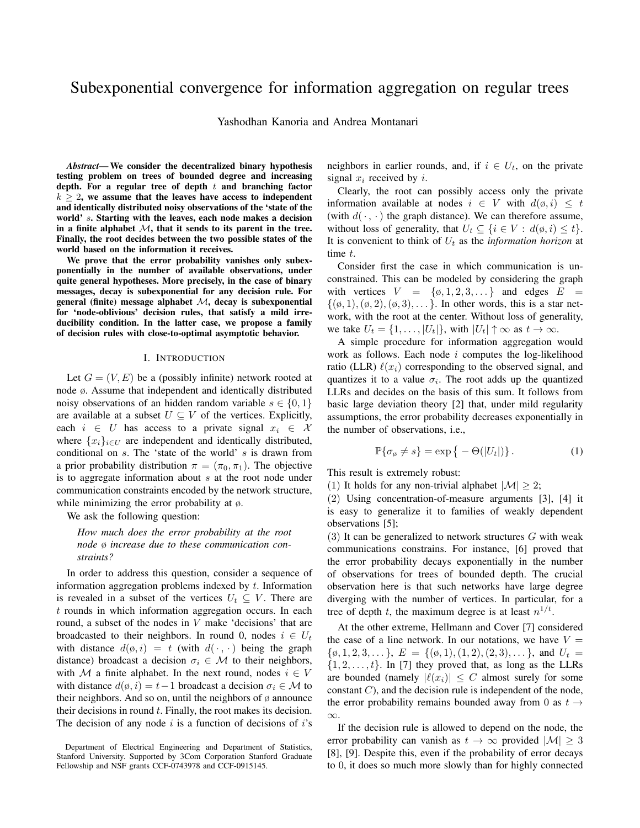# Subexponential convergence for information aggregation on regular trees

Yashodhan Kanoria and Andrea Montanari

*Abstract*— We consider the decentralized binary hypothesis testing problem on trees of bounded degree and increasing depth. For a regular tree of depth  $t$  and branching factor  $k \geq 2$ , we assume that the leaves have access to independent and identically distributed noisy observations of the 'state of the world' s. Starting with the leaves, each node makes a decision in a finite alphabet  $M$ , that it sends to its parent in the tree. Finally, the root decides between the two possible states of the world based on the information it receives.

We prove that the error probability vanishes only subexponentially in the number of available observations, under quite general hypotheses. More precisely, in the case of binary messages, decay is subexponential for any decision rule. For general (finite) message alphabet  $M$ , decay is subexponential for 'node-oblivious' decision rules, that satisfy a mild irreducibility condition. In the latter case, we propose a family of decision rules with close-to-optimal asymptotic behavior.

#### I. INTRODUCTION

Let  $G = (V, E)$  be a (possibly infinite) network rooted at node ø. Assume that independent and identically distributed noisy observations of an hidden random variable  $s \in \{0, 1\}$ are available at a subset  $U \subseteq V$  of the vertices. Explicitly, each  $i \in U$  has access to a private signal  $x_i \in \mathcal{X}$ where  $\{x_i\}_{i\in U}$  are independent and identically distributed, conditional on s. The 'state of the world' s is drawn from a prior probability distribution  $\pi = (\pi_0, \pi_1)$ . The objective is to aggregate information about  $s$  at the root node under communication constraints encoded by the network structure, while minimizing the error probability at  $\varphi$ .

We ask the following question:

# *How much does the error probability at the root node* ø *increase due to these communication constraints?*

In order to address this question, consider a sequence of information aggregation problems indexed by  $t$ . Information is revealed in a subset of the vertices  $U_t \subseteq V$ . There are  $t$  rounds in which information aggregation occurs. In each round, a subset of the nodes in V make 'decisions' that are broadcasted to their neighbors. In round 0, nodes  $i \in U_t$ with distance  $d(\emptyset, i) = t$  (with  $d(\cdot, \cdot)$  being the graph distance) broadcast a decision  $\sigma_i \in \mathcal{M}$  to their neighbors, with M a finite alphabet. In the next round, nodes  $i \in V$ with distance  $d(\emptyset, i) = t-1$  broadcast a decision  $\sigma_i \in \mathcal{M}$  to their neighbors. And so on, until the neighbors of  $\phi$  announce their decisions in round  $t$ . Finally, the root makes its decision. The decision of any node  $i$  is a function of decisions of  $i$ 's neighbors in earlier rounds, and, if  $i \in U_t$ , on the private signal  $x_i$  received by i.

Clearly, the root can possibly access only the private information available at nodes  $i \in V$  with  $d(\emptyset, i) \leq t$ (with  $d(\cdot, \cdot)$  the graph distance). We can therefore assume, without loss of generality, that  $U_t \subseteq \{i \in V : d(\emptyset, i) \leq t\}.$ It is convenient to think of  $U_t$  as the *information horizon* at time t.

Consider first the case in which communication is unconstrained. This can be modeled by considering the graph with vertices  $V = {\emptyset, 1, 2, 3, \dots}$  and edges  $E =$  $\{(\varphi, 1), (\varphi, 2), (\varphi, 3), \dots\}$ . In other words, this is a star network, with the root at the center. Without loss of generality, we take  $U_t = \{1, \ldots, |U_t|\}$ , with  $|U_t| \uparrow \infty$  as  $t \to \infty$ .

A simple procedure for information aggregation would work as follows. Each node  $i$  computes the log-likelihood ratio (LLR)  $\ell(x_i)$  corresponding to the observed signal, and quantizes it to a value  $\sigma_i$ . The root adds up the quantized LLRs and decides on the basis of this sum. It follows from basic large deviation theory [2] that, under mild regularity assumptions, the error probability decreases exponentially in the number of observations, i.e.,

$$
\mathbb{P}\{\sigma_{\emptyset} \neq s\} = \exp\{-\Theta(|U_t|)\}.
$$
 (1)

This result is extremely robust:

(1) It holds for any non-trivial alphabet  $|\mathcal{M}| \geq 2$ ;

(2) Using concentration-of-measure arguments [3], [4] it is easy to generalize it to families of weakly dependent observations [5];

 $(3)$  It can be generalized to network structures G with weak communications constrains. For instance, [6] proved that the error probability decays exponentially in the number of observations for trees of bounded depth. The crucial observation here is that such networks have large degree diverging with the number of vertices. In particular, for a tree of depth t, the maximum degree is at least  $n^{1/t}$ .

At the other extreme, Hellmann and Cover [7] considered the case of a line network. In our notations, we have  $V =$  $\{\emptyset, 1, 2, 3, \ldots\}, E = \{(\emptyset, 1), (1, 2), (2, 3), \ldots\}, \text{ and } U_t =$  $\{1, 2, \ldots, t\}$ . In [7] they proved that, as long as the LLRs are bounded (namely  $|\ell(x_i)| \leq C$  almost surely for some constant  $C$ ), and the decision rule is independent of the node, the error probability remains bounded away from 0 as  $t \rightarrow$ ∞.

If the decision rule is allowed to depend on the node, the error probability can vanish as  $t \to \infty$  provided  $|\mathcal{M}| \geq 3$ [8], [9]. Despite this, even if the probability of error decays to 0, it does so much more slowly than for highly connected

Department of Electrical Engineering and Department of Statistics, Stanford University. Supported by 3Com Corporation Stanford Graduate Fellowship and NSF grants CCF-0743978 and CCF-0915145.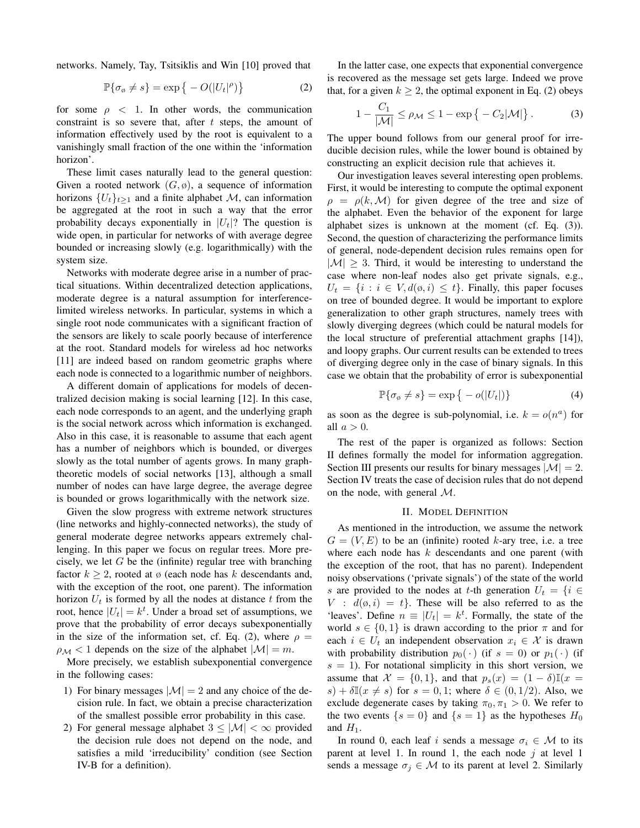networks. Namely, Tay, Tsitsiklis and Win [10] proved that

$$
\mathbb{P}\{\sigma_{\varnothing} \neq s\} = \exp\left\{-O(|U_t|^{\rho})\right\} \tag{2}
$$

for some  $\rho \, < 1$ . In other words, the communication constraint is so severe that, after  $t$  steps, the amount of information effectively used by the root is equivalent to a vanishingly small fraction of the one within the 'information horizon'.

These limit cases naturally lead to the general question: Given a rooted network  $(G, \emptyset)$ , a sequence of information horizons  ${U_t}_{t\geq 1}$  and a finite alphabet M, can information be aggregated at the root in such a way that the error probability decays exponentially in  $|U_t|$ ? The question is wide open, in particular for networks of with average degree bounded or increasing slowly (e.g. logarithmically) with the system size.

Networks with moderate degree arise in a number of practical situations. Within decentralized detection applications, moderate degree is a natural assumption for interferencelimited wireless networks. In particular, systems in which a single root node communicates with a significant fraction of the sensors are likely to scale poorly because of interference at the root. Standard models for wireless ad hoc networks [11] are indeed based on random geometric graphs where each node is connected to a logarithmic number of neighbors.

A different domain of applications for models of decentralized decision making is social learning [12]. In this case, each node corresponds to an agent, and the underlying graph is the social network across which information is exchanged. Also in this case, it is reasonable to assume that each agent has a number of neighbors which is bounded, or diverges slowly as the total number of agents grows. In many graphtheoretic models of social networks [13], although a small number of nodes can have large degree, the average degree is bounded or grows logarithmically with the network size.

Given the slow progress with extreme network structures (line networks and highly-connected networks), the study of general moderate degree networks appears extremely challenging. In this paper we focus on regular trees. More precisely, we let  $G$  be the (infinite) regular tree with branching factor  $k \geq 2$ , rooted at ø (each node has k descendants and, with the exception of the root, one parent). The information horizon  $U_t$  is formed by all the nodes at distance t from the root, hence  $|U_t| = k^t$ . Under a broad set of assumptions, we prove that the probability of error decays subexponentially in the size of the information set, cf. Eq. (2), where  $\rho =$  $\rho_M$  < 1 depends on the size of the alphabet  $|M| = m$ .

More precisely, we establish subexponential convergence in the following cases:

- 1) For binary messages  $|\mathcal{M}| = 2$  and any choice of the decision rule. In fact, we obtain a precise characterization of the smallest possible error probability in this case.
- 2) For general message alphabet  $3 < |\mathcal{M}| < \infty$  provided the decision rule does not depend on the node, and satisfies a mild 'irreducibility' condition (see Section IV-B for a definition).

In the latter case, one expects that exponential convergence is recovered as the message set gets large. Indeed we prove that, for a given  $k \geq 2$ , the optimal exponent in Eq. (2) obeys

$$
1 - \frac{C_1}{|\mathcal{M}|} \le \rho_{\mathcal{M}} \le 1 - \exp\{-C_2|\mathcal{M}|\}.
$$
 (3)

The upper bound follows from our general proof for irreducible decision rules, while the lower bound is obtained by constructing an explicit decision rule that achieves it.

Our investigation leaves several interesting open problems. First, it would be interesting to compute the optimal exponent  $\rho = \rho(k, \mathcal{M})$  for given degree of the tree and size of the alphabet. Even the behavior of the exponent for large alphabet sizes is unknown at the moment (cf. Eq. (3)). Second, the question of characterizing the performance limits of general, node-dependent decision rules remains open for  $|\mathcal{M}| \geq 3$ . Third, it would be interesting to understand the case where non-leaf nodes also get private signals, e.g.,  $U_t = \{i : i \in V, d(\emptyset, i) \leq t\}$ . Finally, this paper focuses on tree of bounded degree. It would be important to explore generalization to other graph structures, namely trees with slowly diverging degrees (which could be natural models for the local structure of preferential attachment graphs [14]), and loopy graphs. Our current results can be extended to trees of diverging degree only in the case of binary signals. In this case we obtain that the probability of error is subexponential

$$
\mathbb{P}\{\sigma_{\varphi} \neq s\} = \exp\{-o(|U_t|)\}\tag{4}
$$

as soon as the degree is sub-polynomial, i.e.  $k = o(n^a)$  for all  $a > 0$ .

The rest of the paper is organized as follows: Section II defines formally the model for information aggregation. Section III presents our results for binary messages  $|\mathcal{M}| = 2$ . Section IV treats the case of decision rules that do not depend on the node, with general  $M$ .

### II. MODEL DEFINITION

As mentioned in the introduction, we assume the network  $G = (V, E)$  to be an (infinite) rooted k-ary tree, i.e. a tree where each node has  $k$  descendants and one parent (with the exception of the root, that has no parent). Independent noisy observations ('private signals') of the state of the world s are provided to the nodes at t-th generation  $U_t = \{i \in$  $V : d(\emptyset, i) = t$ . These will be also referred to as the 'leaves'. Define  $n \equiv |U_t| = k^t$ . Formally, the state of the world  $s \in \{0, 1\}$  is drawn according to the prior  $\pi$  and for each  $i \in U_t$  an independent observation  $x_i \in \mathcal{X}$  is drawn with probability distribution  $p_0(\cdot)$  (if  $s = 0$ ) or  $p_1(\cdot)$  (if  $s = 1$ ). For notational simplicity in this short version, we assume that  $\mathcal{X} = \{0, 1\}$ , and that  $p_s(x) = (1 - \delta) \mathbb{I}(x)$  $s$ ) +  $\delta \mathbb{I}(x \neq s)$  for  $s = 0, 1$ ; where  $\delta \in (0, 1/2)$ . Also, we exclude degenerate cases by taking  $\pi_0, \pi_1 > 0$ . We refer to the two events  $\{s = 0\}$  and  $\{s = 1\}$  as the hypotheses  $H_0$ and  $H_1$ .

In round 0, each leaf i sends a message  $\sigma_i \in \mathcal{M}$  to its parent at level 1. In round 1, the each node  $j$  at level 1 sends a message  $\sigma_i \in \mathcal{M}$  to its parent at level 2. Similarly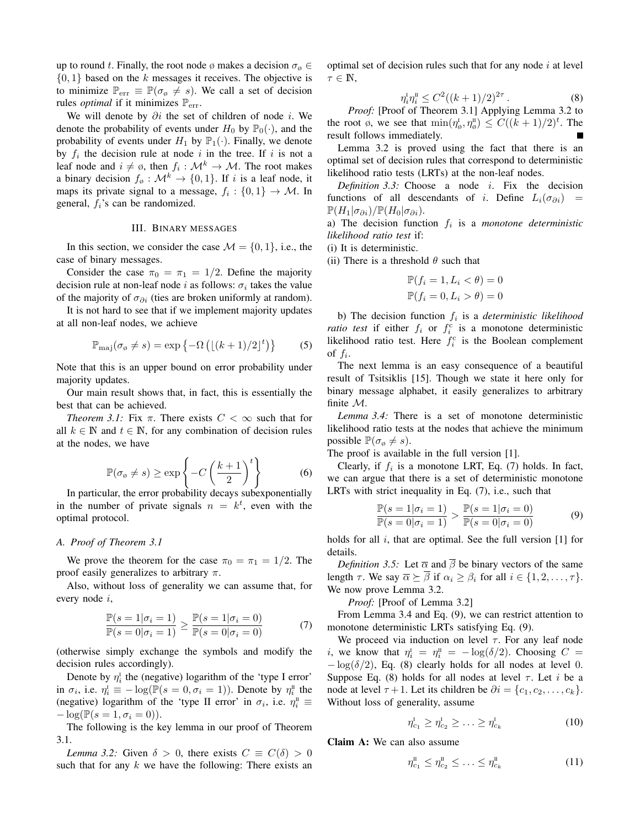up to round t. Finally, the root node ø makes a decision  $\sigma_{\varphi} \in$  $\{0, 1\}$  based on the k messages it receives. The objective is to minimize  $\mathbb{P}_{err} \equiv \mathbb{P}(\sigma_{\varphi} \neq s)$ . We call a set of decision rules *optimal* if it minimizes  $\mathbb{P}_{err}$ .

We will denote by  $\partial i$  the set of children of node i. We denote the probability of events under  $H_0$  by  $\mathbb{P}_0(\cdot)$ , and the probability of events under  $H_1$  by  $\mathbb{P}_1(\cdot)$ . Finally, we denote by  $f_i$  the decision rule at node i in the tree. If i is not a leaf node and  $i \neq \emptyset$ , then  $f_i: \mathcal{M}^k \to \mathcal{M}$ . The root makes a binary decision  $f_{\varphi}: \mathcal{M}^k \to \{0, 1\}$ . If i is a leaf node, it maps its private signal to a message,  $f_i: \{0,1\} \to M$ . In general,  $f_i$ 's can be randomized.

## III. BINARY MESSAGES

In this section, we consider the case  $\mathcal{M} = \{0, 1\}$ , i.e., the case of binary messages.

Consider the case  $\pi_0 = \pi_1 = 1/2$ . Define the majority decision rule at non-leaf node i as follows:  $\sigma_i$  takes the value of the majority of  $\sigma_{\partial i}$  (ties are broken uniformly at random).

It is not hard to see that if we implement majority updates at all non-leaf nodes, we achieve

$$
\mathbb{P}_{\text{maj}}(\sigma_{\emptyset} \neq s) = \exp\left\{-\Omega\left(\lfloor (k+1)/2 \rfloor^t\right)\right\} \tag{5}
$$

Note that this is an upper bound on error probability under majority updates.

Our main result shows that, in fact, this is essentially the best that can be achieved.

*Theorem 3.1:* Fix  $\pi$ . There exists  $C < \infty$  such that for all  $k \in \mathbb{N}$  and  $t \in \mathbb{N}$ , for any combination of decision rules at the nodes, we have

$$
\mathbb{P}(\sigma_{\varnothing} \neq s) \ge \exp\left\{-C\left(\frac{k+1}{2}\right)^t\right\} \tag{6}
$$

In particular, the error probability decays subexponentially in the number of private signals  $n = k^{t}$ , even with the optimal protocol.

#### *A. Proof of Theorem 3.1*

We prove the theorem for the case  $\pi_0 = \pi_1 = 1/2$ . The proof easily generalizes to arbitrary  $\pi$ .

Also, without loss of generality we can assume that, for every node i,

$$
\frac{\mathbb{P}(s=1|\sigma_i=1)}{\mathbb{P}(s=0|\sigma_i=1)} \ge \frac{\mathbb{P}(s=1|\sigma_i=0)}{\mathbb{P}(s=0|\sigma_i=0)}
$$
(7)

(otherwise simply exchange the symbols and modify the decision rules accordingly).

Denote by  $\eta_i^{\text{I}}$  the (negative) logarithm of the 'type I error' in  $\sigma_i$ , i.e.  $\eta_i^1 \equiv -\log(\mathbb{P}(s=0, \sigma_i=1))$ . Denote by  $\eta_i^n$  the (negative) logarithm of the 'type II error' in  $\sigma_i$ , i.e.  $\eta_i^{\text{II}} \equiv$  $-\log(\mathbb{P}(s=1, \sigma_i=0)).$ 

The following is the key lemma in our proof of Theorem 3.1.

*Lemma 3.2:* Given  $\delta > 0$ , there exists  $C \equiv C(\delta) > 0$ such that for any  $k$  we have the following: There exists an optimal set of decision rules such that for any node  $i$  at level  $\tau \in \mathbb{N},$ 

$$
\eta_i^{\rm I} \eta_i^{\rm II} \le C^2((k+1)/2)^{2\tau} \,. \tag{8}
$$

*Proof:* [Proof of Theorem 3.1] Applying Lemma 3.2 to the root  $\emptyset$ , we see that  $\min(\eta_{\emptyset}^{\mathfrak{t}}, \eta_{\emptyset}^{\mathfrak{u}}) \leq C((k+1)/2)^{t}$ . The result follows immediately.

Lemma 3.2 is proved using the fact that there is an optimal set of decision rules that correspond to deterministic likelihood ratio tests (LRTs) at the non-leaf nodes.

*Definition 3.3:* Choose a node i. Fix the decision functions of all descendants of i. Define  $L_i(\sigma_{\partial i})$  =  $\mathbb{P}(H_1|\sigma_{\partial i})/\mathbb{P}(H_0|\sigma_{\partial i}).$ 

a) The decision function  $f_i$  is a *monotone deterministic likelihood ratio test* if:

(i) It is deterministic.

(ii) There is a threshold  $\theta$  such that

$$
\mathbb{P}(f_i = 1, L_i < \theta) = 0
$$
\n
$$
\mathbb{P}(f_i = 0, L_i > \theta) = 0
$$

b) The decision function  $f_i$  is a *deterministic likelihood ratio test* if either  $f_i$  or  $f_i^c$  is a monotone deterministic likelihood ratio test. Here  $f_i^c$  is the Boolean complement of  $f_i$ .

The next lemma is an easy consequence of a beautiful result of Tsitsiklis [15]. Though we state it here only for binary message alphabet, it easily generalizes to arbitrary finite M.

*Lemma 3.4:* There is a set of monotone deterministic likelihood ratio tests at the nodes that achieve the minimum possible  $\mathbb{P}(\sigma_{\emptyset} \neq s)$ .

The proof is available in the full version [1].

Clearly, if  $f_i$  is a monotone LRT, Eq. (7) holds. In fact, we can argue that there is a set of deterministic monotone LRTs with strict inequality in Eq. (7), i.e., such that

$$
\frac{\mathbb{P}(s=1|\sigma_i=1)}{\mathbb{P}(s=0|\sigma_i=1)} > \frac{\mathbb{P}(s=1|\sigma_i=0)}{\mathbb{P}(s=0|\sigma_i=0)}
$$
\n(9)

holds for all  $i$ , that are optimal. See the full version [1] for details.

*Definition 3.5:* Let  $\overline{\alpha}$  and  $\overline{\beta}$  be binary vectors of the same length  $\tau$ . We say  $\overline{\alpha} \succeq \overline{\beta}$  if  $\alpha_i \geq \beta_i$  for all  $i \in \{1, 2, ..., \tau\}$ . We now prove Lemma 3.2.

*Proof:* [Proof of Lemma 3.2]

From Lemma 3.4 and Eq. (9), we can restrict attention to monotone deterministic LRTs satisfying Eq. (9).

We proceed via induction on level  $\tau$ . For any leaf node *i*, we know that  $\eta_i^I = \eta_i^I = -\log(\delta/2)$ . Choosing  $C =$  $-\log(\delta/2)$ , Eq. (8) clearly holds for all nodes at level 0. Suppose Eq. (8) holds for all nodes at level  $\tau$ . Let *i* be a node at level  $\tau + 1$ . Let its children be  $\partial i = \{c_1, c_2, \ldots, c_k\}.$ Without loss of generality, assume

$$
\eta_{c_1}^{\rm I} \ge \eta_{c_2}^{\rm I} \ge \ldots \ge \eta_{c_k}^{\rm I} \tag{10}
$$

Claim A: We can also assume

$$
\eta_{c_1}^{\mathbb{I}} \le \eta_{c_2}^{\mathbb{I}} \le \ldots \le \eta_{c_k}^{\mathbb{I}} \tag{11}
$$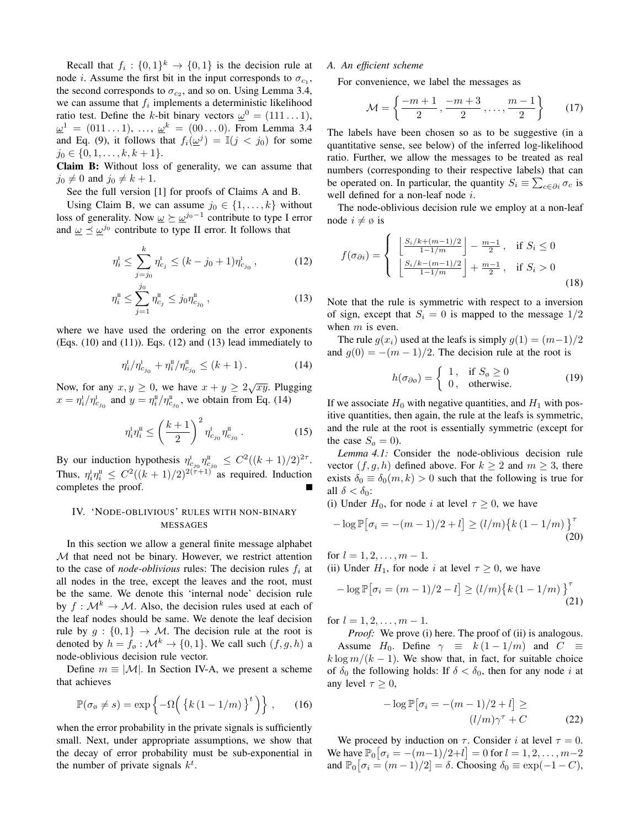Recall that  $f_i: \{0,1\}^k \rightarrow \{0,1\}$  is the decision rule at node *i*. Assume the first bit in the input corresponds to  $\sigma_{c_1}$ , the second corresponds to  $\sigma_{c_2}$ , and so on. Using Lemma 3.4, we can assume that  $f_i$  implements a deterministic likelihood ratio test. Define the k-bit binary vectors  $\omega^0 = (111 \dots 1)$ ,  $\underline{\omega}^{1} = (011...1), ..., \underline{\omega}^{k} = (00...0)$ . From Lemma 3.4 and Eq. (9), it follows that  $f_i(\underline{\omega}^j) = \mathbb{I}(j \langle j_0 \rangle)$  for some  $j_0 \in \{0, 1, \ldots, k, k+1\}.$ 

Claim B: Without loss of generality, we can assume that  $j_0 \neq 0$  and  $j_0 \neq k+1$ .

See the full version [1] for proofs of Claims A and B.

Using Claim B, we can assume  $j_0 \in \{1, \ldots, k\}$  without loss of generality. Now  $\underline{\omega} \succeq \underline{\omega}^{j_0-1}$  contribute to type I error and  $\underline{\omega} \preceq \underline{\omega}^{j_0}$  contribute to type II error. It follows that

$$
\eta_i^{\mathfrak{l}} \le \sum_{j=j_0}^k \eta_{c_j}^{\mathfrak{l}} \le (k - j_0 + 1) \eta_{c_{j_0}}^{\mathfrak{l}}, \qquad (12)
$$

$$
\eta_i^{\rm II} \le \sum_{j=1}^{j_0} \eta_{c_j}^{\rm II} \le j_0 \eta_{c_{j_0}}^{\rm II}, \qquad (13)
$$

where we have used the ordering on the error exponents (Eqs. (10) and (11)). Eqs. (12) and (13) lead immediately to

$$
\eta_i^{\rm I} / \eta_{c_{j_0}}^{\rm I} + \eta_i^{\rm I\!I} / \eta_{c_{j_0}}^{\rm I} \le (k+1) \,. \tag{14}
$$

Now, for any  $x, y \ge 0$ , we have  $x + y \ge 2\sqrt{xy}$ . Plugging  $x = \eta_i^{\text{I}} / \eta_{c_{j_0}}^{\text{I}}$  and  $y = \eta_i^{\text{II}} / \eta_{c_{j_0}}^{\text{II}}$ , we obtain from Eq. (14)

$$
\eta_i^{\mathsf{I}} \eta_i^{\mathsf{II}} \le \left(\frac{k+1}{2}\right)^2 \eta_{c_{j_0}}^{\mathsf{I}} \eta_{c_{j_0}}^{\mathsf{II}}.
$$
 (15)

By our induction hypothesis  $\eta_{c_{j_0}}^{\text{I}} \eta_{c_{j_0}}^{\text{II}} \leq C^2((k+1)/2)^{2\tau}$ . Thus,  $\eta_i^{\text{I}} \eta_i^{\text{II}} \leq C^2((k+1)/2)^{2(\tau+1)}$  as required. Induction completes the proof.

# IV. 'NODE-OBLIVIOUS' RULES WITH NON-BINARY MESSAGES

In this section we allow a general finite message alphabet M that need not be binary. However, we restrict attention to the case of *node-oblivious* rules: The decision rules  $f_i$  at all nodes in the tree, except the leaves and the root, must be the same. We denote this 'internal node' decision rule by  $f: \mathcal{M}^k \to \mathcal{M}$ . Also, the decision rules used at each of the leaf nodes should be same. We denote the leaf decision rule by  $g : \{0,1\} \to M$ . The decision rule at the root is denoted by  $h = f_{\emptyset} : \mathcal{M}^k \to \{0, 1\}$ . We call such  $(f, g, h)$  a node-oblivious decision rule vector.

Define  $m \equiv |\mathcal{M}|$ . In Section IV-A, we present a scheme that achieves

$$
\mathbb{P}(\sigma_{\emptyset} \neq s) = \exp\left\{-\Omega\left(\left\{k\left(1 - 1/m\right)\right\}^t\right)\right\},\qquad(16)
$$

when the error probability in the private signals is sufficiently small. Next, under appropriate assumptions, we show that the decay of error probability must be sub-exponential in the number of private signals  $k^t$ .

## *A. An efficient scheme*

For convenience, we label the messages as

$$
\mathcal{M} = \left\{ \frac{-m+1}{2}, \frac{-m+3}{2}, \dots, \frac{m-1}{2} \right\} \tag{17}
$$

The labels have been chosen so as to be suggestive (in a quantitative sense, see below) of the inferred log-likelihood ratio. Further, we allow the messages to be treated as real numbers (corresponding to their respective labels) that can be operated on. In particular, the quantity  $S_i \equiv \sum_{c \in \partial i} \sigma_c$  is well defined for a non-leaf node *i*.

The node-oblivious decision rule we employ at a non-leaf node  $i \neq \emptyset$  is

$$
f(\sigma_{\partial i}) = \begin{cases} \left\lfloor \frac{S_i/k + (m-1)/2}{1 - 1/m} \right\rfloor - \frac{m-1}{2}, & \text{if } S_i \le 0\\ \left\lfloor \frac{S_i/k - (m-1)/2}{1 - 1/m} \right\rfloor + \frac{m-1}{2}, & \text{if } S_i > 0 \end{cases}
$$
(18)

Note that the rule is symmetric with respect to a inversion of sign, except that  $S_i = 0$  is mapped to the message  $1/2$ when  $m$  is even.

The rule  $g(x_i)$  used at the leafs is simply  $g(1) = (m-1)/2$ and  $g(0) = -(m-1)/2$ . The decision rule at the root is

$$
h(\sigma_{\partial\emptyset}) = \begin{cases} 1, & \text{if } S_{\emptyset} \ge 0 \\ 0, & \text{otherwise.} \end{cases}
$$
 (19)

If we associate  $H_0$  with negative quantities, and  $H_1$  with positive quantities, then again, the rule at the leafs is symmetric, and the rule at the root is essentially symmetric (except for the case  $S_{\varphi} = 0$ ).

*Lemma 4.1:* Consider the node-oblivious decision rule vector  $(f, g, h)$  defined above. For  $k \ge 2$  and  $m \ge 3$ , there exists  $\delta_0 \equiv \delta_0(m, k) > 0$  such that the following is true for all  $\delta < \delta_0$ :

(i) Under  $H_0$ , for node i at level  $\tau \geq 0$ , we have

$$
-\log \mathbb{P}[\sigma_i = -(m-1)/2 + l] \ge (l/m) \{k (1 - 1/m)\}^{\tau}
$$
\n(20)

for  $l = 1, 2, \ldots, m - 1$ . (ii) Under  $H_1$ , for node i at level  $\tau \geq 0$ , we have

$$
-\log \mathbb{P}[\sigma_i = (m-1)/2 - l] \ge (l/m) \{ k (1 - 1/m) \}^{\tau}
$$
\n(21)

for  $l = 1, 2, \ldots, m - 1$ .

*Proof:* We prove (i) here. The proof of (ii) is analogous. Assume  $H_0$ . Define  $\gamma \equiv k(1 - 1/m)$  and  $C \equiv$  $k \log m/(k-1)$ . We show that, in fact, for suitable choice of  $\delta_0$  the following holds: If  $\delta < \delta_0$ , then for any node i at any level  $\tau \geq 0$ ,

$$
-\log \mathbb{P} \big[ \sigma_i = -(m-1)/2 + l \big] \ge
$$
  

$$
(l/m)\gamma^{\tau} + C
$$
 (22)

We proceed by induction on  $\tau$ . Consider *i* at level  $\tau = 0$ . We have  $\mathbb{P}_0[\sigma_i = -(m-1)/2+l] = 0$  for  $l = 1, 2, ..., m-2$ and  $\mathbb{P}_0[\sigma_i = (m-1)/2] = \delta$ . Choosing  $\delta_0 \equiv \exp(-1 - C)$ ,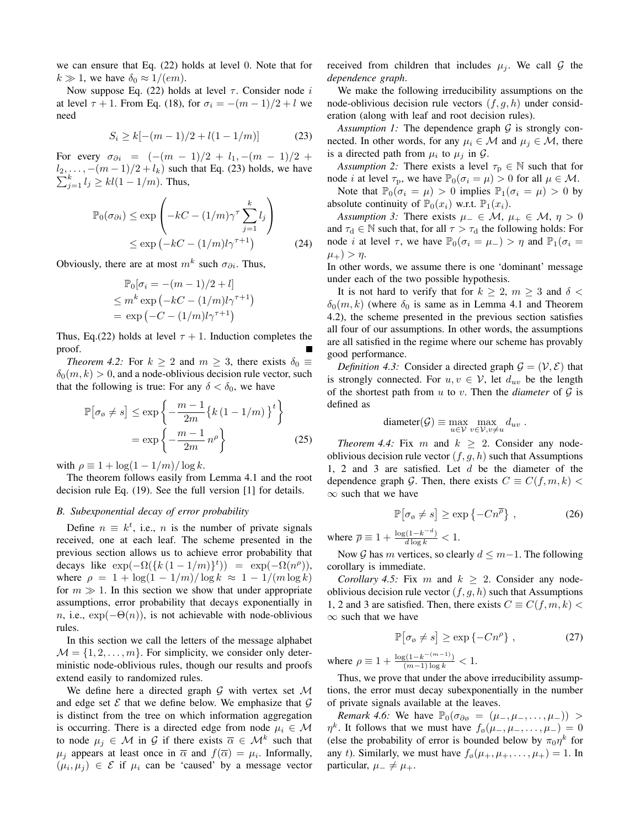we can ensure that Eq. (22) holds at level 0. Note that for  $k \gg 1$ , we have  $\delta_0 \approx 1/(em)$ .

Now suppose Eq. (22) holds at level  $\tau$ . Consider node i at level  $\tau + 1$ . From Eq. (18), for  $\sigma_i = -(m-1)/2 + l$  we need

$$
S_i \ge k[-(m-1)/2 + l(1 - 1/m)] \tag{23}
$$

For every  $\sigma_{\partial i} = \frac{(- (m - 1)/2 + l_1, -(m - 1)/2 + l_1)}{2}$  $l_2, \ldots, -(m-1)/2 + l_k)$  such that Eq. (23) holds, we have  $\sum_{j=1}^{k} l_j \geq kl(1-1/m)$ . Thus,

$$
\mathbb{P}_0(\sigma_{\partial i}) \le \exp\left(-kC - (1/m)\gamma^{\tau} \sum_{j=1}^k l_j\right)
$$
  
 
$$
\le \exp\left(-kC - (1/m)l\gamma^{\tau+1}\right)
$$
 (24)

Obviously, there are at most  $m^k$  such  $\sigma_{\partial i}$ . Thus,

$$
\mathbb{P}_0[\sigma_i = -(m-1)/2 + l]
$$
  
\n
$$
\leq m^k \exp(-kC - (1/m)l\gamma^{\tau+1})
$$
  
\n
$$
= \exp(-C - (1/m)l\gamma^{\tau+1})
$$

Thus, Eq.(22) holds at level  $\tau + 1$ . Induction completes the proof.

*Theorem 4.2:* For  $k \geq 2$  and  $m \geq 3$ , there exists  $\delta_0 \equiv$  $\delta_0(m, k) > 0$ , and a node-oblivious decision rule vector, such that the following is true: For any  $\delta < \delta_0$ , we have

$$
\mathbb{P}\big[\sigma_{\varnothing} \neq s\big] \leq \exp\left\{-\frac{m-1}{2m}\left\{k\left(1-1/m\right)\right\}^t\right\}
$$
\n
$$
= \exp\left\{-\frac{m-1}{2m}n^{\rho}\right\} \tag{25}
$$

with  $\rho \equiv 1 + \log(1 - 1/m) / \log k$ .

The theorem follows easily from Lemma 4.1 and the root decision rule Eq. (19). See the full version [1] for details.

## *B. Subexponential decay of error probability*

Define  $n \equiv k^t$ , i.e., *n* is the number of private signals received, one at each leaf. The scheme presented in the previous section allows us to achieve error probability that decays like  $\exp(-\Omega({k(1-1/m)})^t) = \exp(-\Omega(n^{\rho})),$ where  $\rho = 1 + \log(1 - 1/m) / \log k \approx 1 - 1/(m \log k)$ for  $m \gg 1$ . In this section we show that under appropriate assumptions, error probability that decays exponentially in n, i.e.,  $exp(-\Theta(n))$ , is not achievable with node-oblivious rules.

In this section we call the letters of the message alphabet  $\mathcal{M} = \{1, 2, \dots, m\}$ . For simplicity, we consider only deterministic node-oblivious rules, though our results and proofs extend easily to randomized rules.

We define here a directed graph  $G$  with vertex set  $M$ and edge set  $\mathcal E$  that we define below. We emphasize that  $\mathcal G$ is distinct from the tree on which information aggregation is occurring. There is a directed edge from node  $\mu_i \in \mathcal{M}$ to node  $\mu_j \in \mathcal{M}$  in G if there exists  $\overline{\alpha} \in \mathcal{M}^k$  such that  $\mu_j$  appears at least once in  $\overline{\alpha}$  and  $f(\overline{\alpha}) = \mu_i$ . Informally,  $(\mu_i, \mu_j) \in \mathcal{E}$  if  $\mu_i$  can be 'caused' by a message vector

received from children that includes  $\mu_i$ . We call G the *dependence graph*.

We make the following irreducibility assumptions on the node-oblivious decision rule vectors  $(f, g, h)$  under consideration (along with leaf and root decision rules).

*Assumption 1:* The dependence graph  $G$  is strongly connected. In other words, for any  $\mu_i \in \mathcal{M}$  and  $\mu_j \in \mathcal{M}$ , there is a directed path from  $\mu_i$  to  $\mu_j$  in  $\mathcal{G}$ .

*Assumption 2:* There exists a level  $\tau_p \in \mathbb{N}$  such that for node *i* at level  $\tau_p$ , we have  $\mathbb{P}_0(\sigma_i = \mu) > 0$  for all  $\mu \in \mathcal{M}$ .

Note that  $\mathbb{P}_0(\sigma_i = \mu) > 0$  implies  $\mathbb{P}_1(\sigma_i = \mu) > 0$  by absolute continuity of  $\mathbb{P}_0(x_i)$  w.r.t.  $\mathbb{P}_1(x_i)$ .

*Assumption 3:* There exists  $\mu_-\in\mathcal{M}, \mu_+\in\mathcal{M}, \eta>0$ and  $\tau_d \in \mathbb{N}$  such that, for all  $\tau > \tau_d$  the following holds: For node *i* at level  $\tau$ , we have  $\mathbb{P}_0(\sigma_i = \mu_-) > \eta$  and  $\mathbb{P}_1(\sigma_i =$  $\mu_{+}) > \eta_{-}$ 

In other words, we assume there is one 'dominant' message under each of the two possible hypothesis.

It is not hard to verify that for  $k \geq 2$ ,  $m \geq 3$  and  $\delta$  $\delta_0(m, k)$  (where  $\delta_0$  is same as in Lemma 4.1 and Theorem 4.2), the scheme presented in the previous section satisfies all four of our assumptions. In other words, the assumptions are all satisfied in the regime where our scheme has provably good performance.

*Definition 4.3:* Consider a directed graph  $\mathcal{G} = (\mathcal{V}, \mathcal{E})$  that is strongly connected. For  $u, v \in V$ , let  $d_{uv}$  be the length of the shortest path from  $u$  to  $v$ . Then the *diameter* of  $\mathcal G$  is defined as

$$
diameter(\mathcal{G}) \equiv \max_{u \in \mathcal{V}} \max_{v \in \mathcal{V}, v \neq u} d_{uv}.
$$

*Theorem 4.4:* Fix m and  $k \geq 2$ . Consider any nodeoblivious decision rule vector  $(f, g, h)$  such that Assumptions 1, 2 and 3 are satisfied. Let  $d$  be the diameter of the dependence graph G. Then, there exists  $C \equiv C(f, m, k)$ ∞ such that we have

$$
\mathbb{P}[\sigma_{\varnothing} \neq s] \geq \exp\left\{-Cn^{\overline{\rho}}\right\},\tag{26}
$$

where  $\overline{\rho} \equiv 1 + \frac{\log(1 - k^{-d})}{d \log k} < 1$ .

Now G has m vertices, so clearly  $d \leq m-1$ . The following corollary is immediate.

*Corollary 4.5:* Fix m and  $k \geq 2$ . Consider any nodeoblivious decision rule vector  $(f, g, h)$  such that Assumptions 1, 2 and 3 are satisfied. Then, there exists  $C \equiv C(f, m, k)$ ∞ such that we have

$$
\mathbb{P}[\sigma_{\varphi} \neq s] \geq \exp\left\{-Cn^{\rho}\right\},\tag{27}
$$

where  $\rho \equiv 1 + \frac{\log(1 - k^{-(m-1)})}{(m-1)\log k} < 1$ .

Thus, we prove that under the above irreducibility assumptions, the error must decay subexponentially in the number of private signals available at the leaves.

*Remark 4.6:* We have  $\mathbb{P}_0(\sigma_{\partial\varphi} = (\mu_-, \mu_-, \ldots, \mu_-)) >$  $\eta^k$ . It follows that we must have  $f_{\phi}(\mu_-, \mu_-, \ldots, \mu_n) = 0$ (else the probability of error is bounded below by  $\pi_0 \eta^k$  for any t). Similarly, we must have  $f_{\phi}(\mu_+,\mu_+,\ldots,\mu_+) = 1$ . In particular,  $\mu_-\neq \mu_+$ .